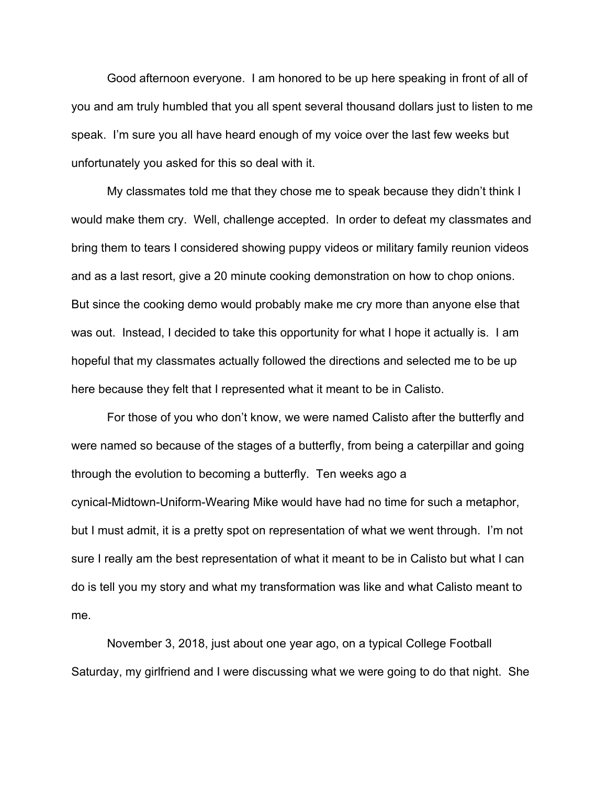Good afternoon everyone. I am honored to be up here speaking in front of all of you and am truly humbled that you all spent several thousand dollars just to listen to me speak. I'm sure you all have heard enough of my voice over the last few weeks but unfortunately you asked for this so deal with it.

My classmates told me that they chose me to speak because they didn't think I would make them cry. Well, challenge accepted. In order to defeat my classmates and bring them to tears I considered showing puppy videos or military family reunion videos and as a last resort, give a 20 minute cooking demonstration on how to chop onions. But since the cooking demo would probably make me cry more than anyone else that was out. Instead, I decided to take this opportunity for what I hope it actually is. I am hopeful that my classmates actually followed the directions and selected me to be up here because they felt that I represented what it meant to be in Calisto.

For those of you who don't know, we were named Calisto after the butterfly and were named so because of the stages of a butterfly, from being a caterpillar and going through the evolution to becoming a butterfly. Ten weeks ago a cynical-Midtown-Uniform-Wearing Mike would have had no time for such a metaphor, but I must admit, it is a pretty spot on representation of what we went through. I'm not sure I really am the best representation of what it meant to be in Calisto but what I can do is tell you my story and what my transformation was like and what Calisto meant to me.

November 3, 2018, just about one year ago, on a typical College Football Saturday, my girlfriend and I were discussing what we were going to do that night. She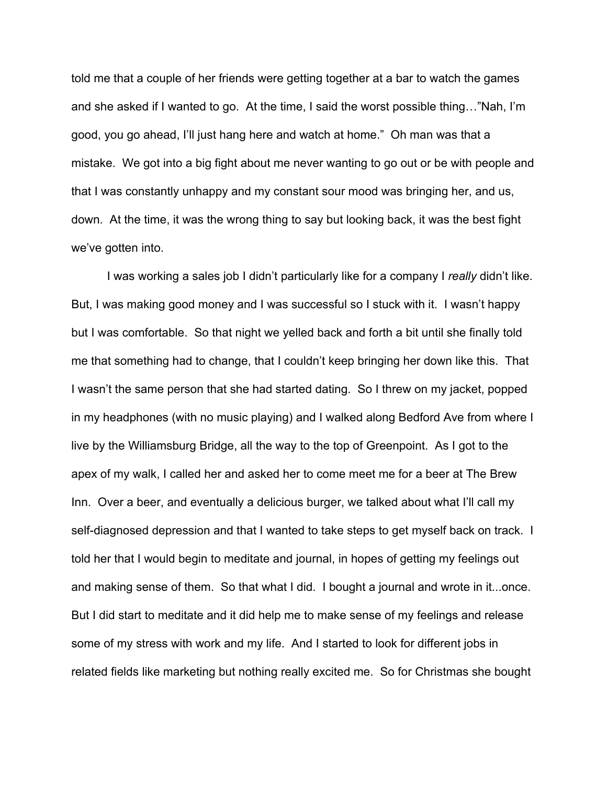told me that a couple of her friends were getting together at a bar to watch the games and she asked if I wanted to go. At the time, I said the worst possible thing…"Nah, I'm good, you go ahead, I'll just hang here and watch at home." Oh man was that a mistake. We got into a big fight about me never wanting to go out or be with people and that I was constantly unhappy and my constant sour mood was bringing her, and us, down. At the time, it was the wrong thing to say but looking back, it was the best fight we've gotten into.

I was working a sales job I didn't particularly like for a company I *really* didn't like. But, I was making good money and I was successful so I stuck with it. I wasn't happy but I was comfortable. So that night we yelled back and forth a bit until she finally told me that something had to change, that I couldn't keep bringing her down like this. That I wasn't the same person that she had started dating. So I threw on my jacket, popped in my headphones (with no music playing) and I walked along Bedford Ave from where I live by the Williamsburg Bridge, all the way to the top of Greenpoint. As I got to the apex of my walk, I called her and asked her to come meet me for a beer at The Brew Inn. Over a beer, and eventually a delicious burger, we talked about what I'll call my self-diagnosed depression and that I wanted to take steps to get myself back on track. I told her that I would begin to meditate and journal, in hopes of getting my feelings out and making sense of them. So that what I did. I bought a journal and wrote in it...once. But I did start to meditate and it did help me to make sense of my feelings and release some of my stress with work and my life. And I started to look for different jobs in related fields like marketing but nothing really excited me. So for Christmas she bought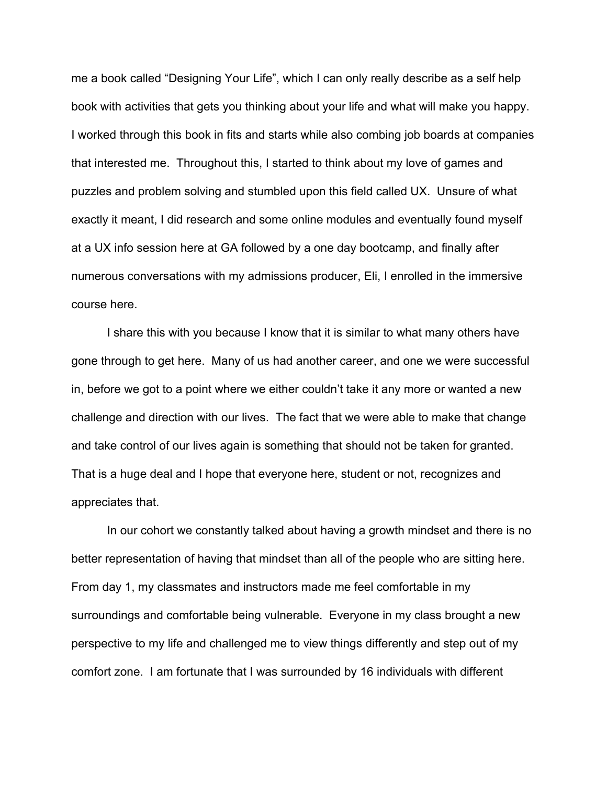me a book called "Designing Your Life", which I can only really describe as a self help book with activities that gets you thinking about your life and what will make you happy. I worked through this book in fits and starts while also combing job boards at companies that interested me. Throughout this, I started to think about my love of games and puzzles and problem solving and stumbled upon this field called UX. Unsure of what exactly it meant, I did research and some online modules and eventually found myself at a UX info session here at GA followed by a one day bootcamp, and finally after numerous conversations with my admissions producer, Eli, I enrolled in the immersive course here.

I share this with you because I know that it is similar to what many others have gone through to get here. Many of us had another career, and one we were successful in, before we got to a point where we either couldn't take it any more or wanted a new challenge and direction with our lives. The fact that we were able to make that change and take control of our lives again is something that should not be taken for granted. That is a huge deal and I hope that everyone here, student or not, recognizes and appreciates that.

In our cohort we constantly talked about having a growth mindset and there is no better representation of having that mindset than all of the people who are sitting here. From day 1, my classmates and instructors made me feel comfortable in my surroundings and comfortable being vulnerable. Everyone in my class brought a new perspective to my life and challenged me to view things differently and step out of my comfort zone. I am fortunate that I was surrounded by 16 individuals with different